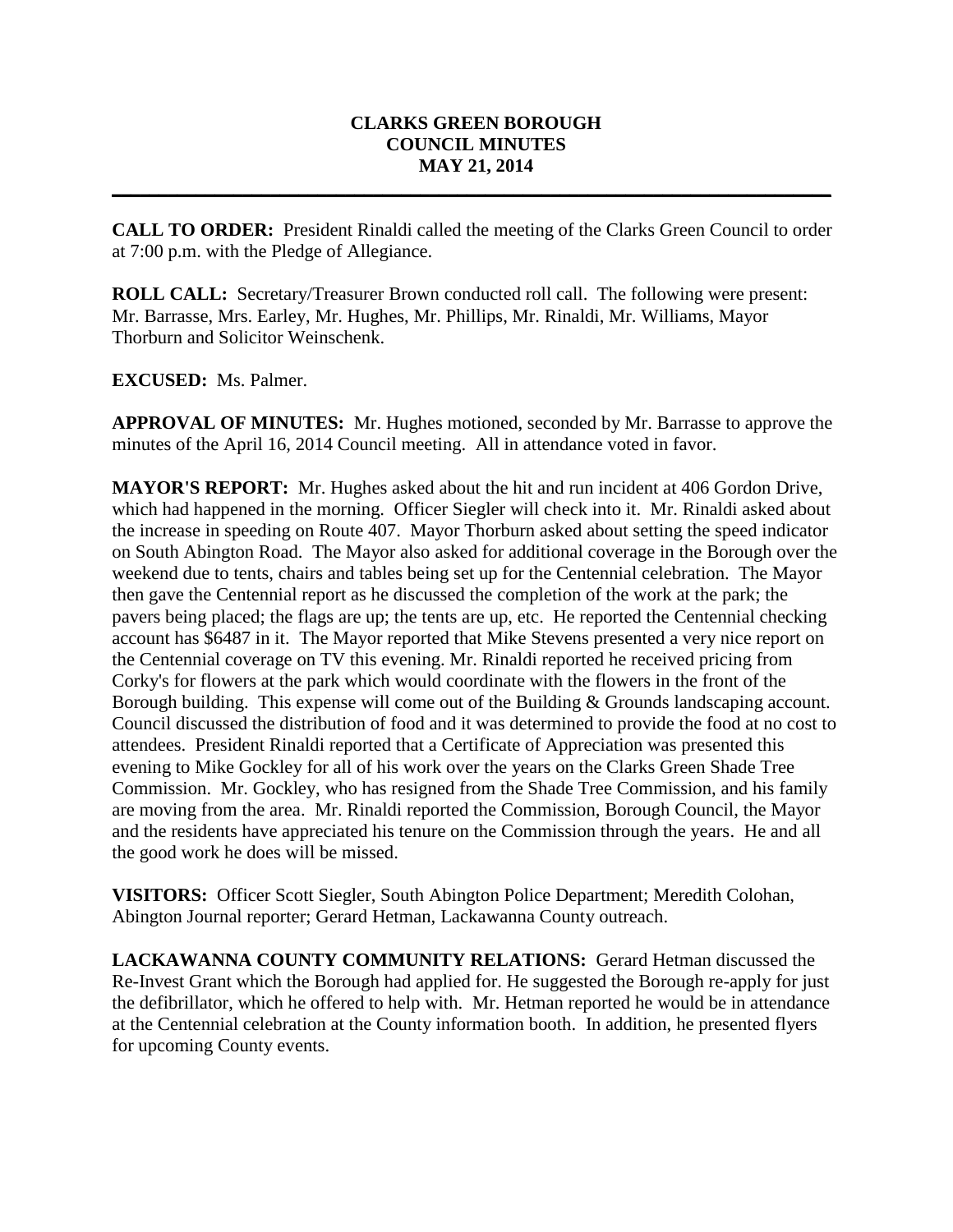## **CLARKS GREEN BOROUGH COUNCIL MINUTES MAY 21, 2014**

**CALL TO ORDER:** President Rinaldi called the meeting of the Clarks Green Council to order at 7:00 p.m. with the Pledge of Allegiance.

**\_\_\_\_\_\_\_\_\_\_\_\_\_\_\_\_\_\_\_\_\_\_\_\_\_\_\_\_\_\_\_\_\_\_\_\_\_\_\_\_\_\_\_\_\_\_\_\_\_\_\_\_\_\_\_\_\_\_\_\_\_\_\_\_\_\_\_\_\_\_\_\_\_\_\_\_\_**

**ROLL CALL:** Secretary/Treasurer Brown conducted roll call. The following were present: Mr. Barrasse, Mrs. Earley, Mr. Hughes, Mr. Phillips, Mr. Rinaldi, Mr. Williams, Mayor Thorburn and Solicitor Weinschenk.

**EXCUSED:** Ms. Palmer.

**APPROVAL OF MINUTES:** Mr. Hughes motioned, seconded by Mr. Barrasse to approve the minutes of the April 16, 2014 Council meeting. All in attendance voted in favor.

**MAYOR'S REPORT:** Mr. Hughes asked about the hit and run incident at 406 Gordon Drive, which had happened in the morning. Officer Siegler will check into it. Mr. Rinaldi asked about the increase in speeding on Route 407. Mayor Thorburn asked about setting the speed indicator on South Abington Road. The Mayor also asked for additional coverage in the Borough over the weekend due to tents, chairs and tables being set up for the Centennial celebration. The Mayor then gave the Centennial report as he discussed the completion of the work at the park; the pavers being placed; the flags are up; the tents are up, etc. He reported the Centennial checking account has \$6487 in it. The Mayor reported that Mike Stevens presented a very nice report on the Centennial coverage on TV this evening. Mr. Rinaldi reported he received pricing from Corky's for flowers at the park which would coordinate with the flowers in the front of the Borough building. This expense will come out of the Building & Grounds landscaping account. Council discussed the distribution of food and it was determined to provide the food at no cost to attendees. President Rinaldi reported that a Certificate of Appreciation was presented this evening to Mike Gockley for all of his work over the years on the Clarks Green Shade Tree Commission. Mr. Gockley, who has resigned from the Shade Tree Commission, and his family are moving from the area. Mr. Rinaldi reported the Commission, Borough Council, the Mayor and the residents have appreciated his tenure on the Commission through the years. He and all the good work he does will be missed.

**VISITORS:** Officer Scott Siegler, South Abington Police Department; Meredith Colohan, Abington Journal reporter; Gerard Hetman, Lackawanna County outreach.

**LACKAWANNA COUNTY COMMUNITY RELATIONS:** Gerard Hetman discussed the Re-Invest Grant which the Borough had applied for. He suggested the Borough re-apply for just the defibrillator, which he offered to help with. Mr. Hetman reported he would be in attendance at the Centennial celebration at the County information booth. In addition, he presented flyers for upcoming County events.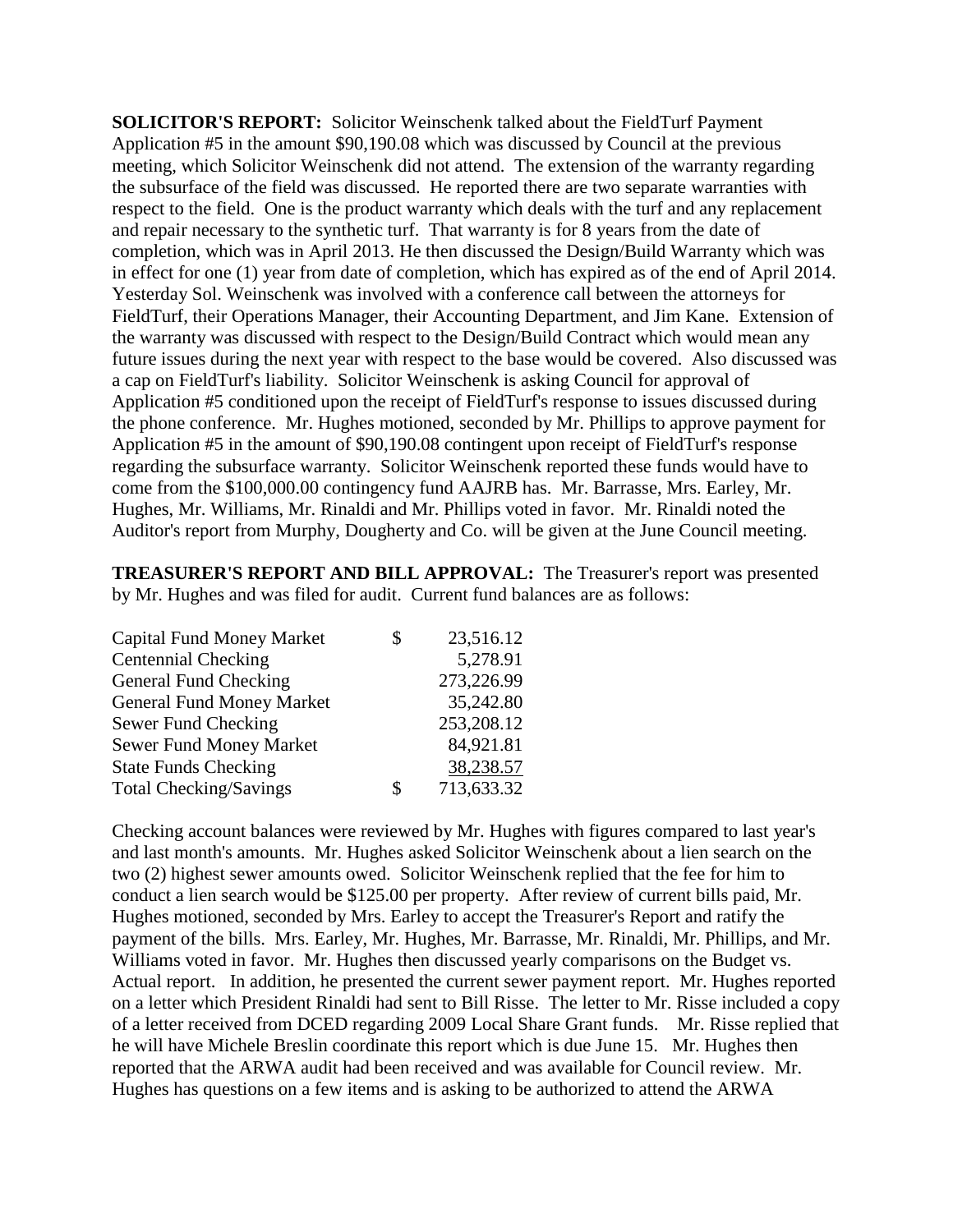**SOLICITOR'S REPORT:** Solicitor Weinschenk talked about the FieldTurf Payment Application #5 in the amount \$90,190.08 which was discussed by Council at the previous meeting, which Solicitor Weinschenk did not attend. The extension of the warranty regarding the subsurface of the field was discussed. He reported there are two separate warranties with respect to the field. One is the product warranty which deals with the turf and any replacement and repair necessary to the synthetic turf. That warranty is for 8 years from the date of completion, which was in April 2013. He then discussed the Design/Build Warranty which was in effect for one (1) year from date of completion, which has expired as of the end of April 2014. Yesterday Sol. Weinschenk was involved with a conference call between the attorneys for FieldTurf, their Operations Manager, their Accounting Department, and Jim Kane. Extension of the warranty was discussed with respect to the Design/Build Contract which would mean any future issues during the next year with respect to the base would be covered. Also discussed was a cap on FieldTurf's liability. Solicitor Weinschenk is asking Council for approval of Application #5 conditioned upon the receipt of FieldTurf's response to issues discussed during the phone conference. Mr. Hughes motioned, seconded by Mr. Phillips to approve payment for Application #5 in the amount of \$90,190.08 contingent upon receipt of FieldTurf's response regarding the subsurface warranty. Solicitor Weinschenk reported these funds would have to come from the \$100,000.00 contingency fund AAJRB has. Mr. Barrasse, Mrs. Earley, Mr. Hughes, Mr. Williams, Mr. Rinaldi and Mr. Phillips voted in favor. Mr. Rinaldi noted the Auditor's report from Murphy, Dougherty and Co. will be given at the June Council meeting.

**TREASURER'S REPORT AND BILL APPROVAL:** The Treasurer's report was presented by Mr. Hughes and was filed for audit. Current fund balances are as follows:

| S  | 23,516.12  |
|----|------------|
|    | 5,278.91   |
|    | 273,226.99 |
|    | 35,242.80  |
|    | 253,208.12 |
|    | 84,921.81  |
|    | 38,238.57  |
| \$ | 713,633.32 |
|    |            |

Checking account balances were reviewed by Mr. Hughes with figures compared to last year's and last month's amounts. Mr. Hughes asked Solicitor Weinschenk about a lien search on the two (2) highest sewer amounts owed. Solicitor Weinschenk replied that the fee for him to conduct a lien search would be \$125.00 per property. After review of current bills paid, Mr. Hughes motioned, seconded by Mrs. Earley to accept the Treasurer's Report and ratify the payment of the bills. Mrs. Earley, Mr. Hughes, Mr. Barrasse, Mr. Rinaldi, Mr. Phillips, and Mr. Williams voted in favor. Mr. Hughes then discussed yearly comparisons on the Budget vs. Actual report. In addition, he presented the current sewer payment report. Mr. Hughes reported on a letter which President Rinaldi had sent to Bill Risse. The letter to Mr. Risse included a copy of a letter received from DCED regarding 2009 Local Share Grant funds. Mr. Risse replied that he will have Michele Breslin coordinate this report which is due June 15. Mr. Hughes then reported that the ARWA audit had been received and was available for Council review. Mr. Hughes has questions on a few items and is asking to be authorized to attend the ARWA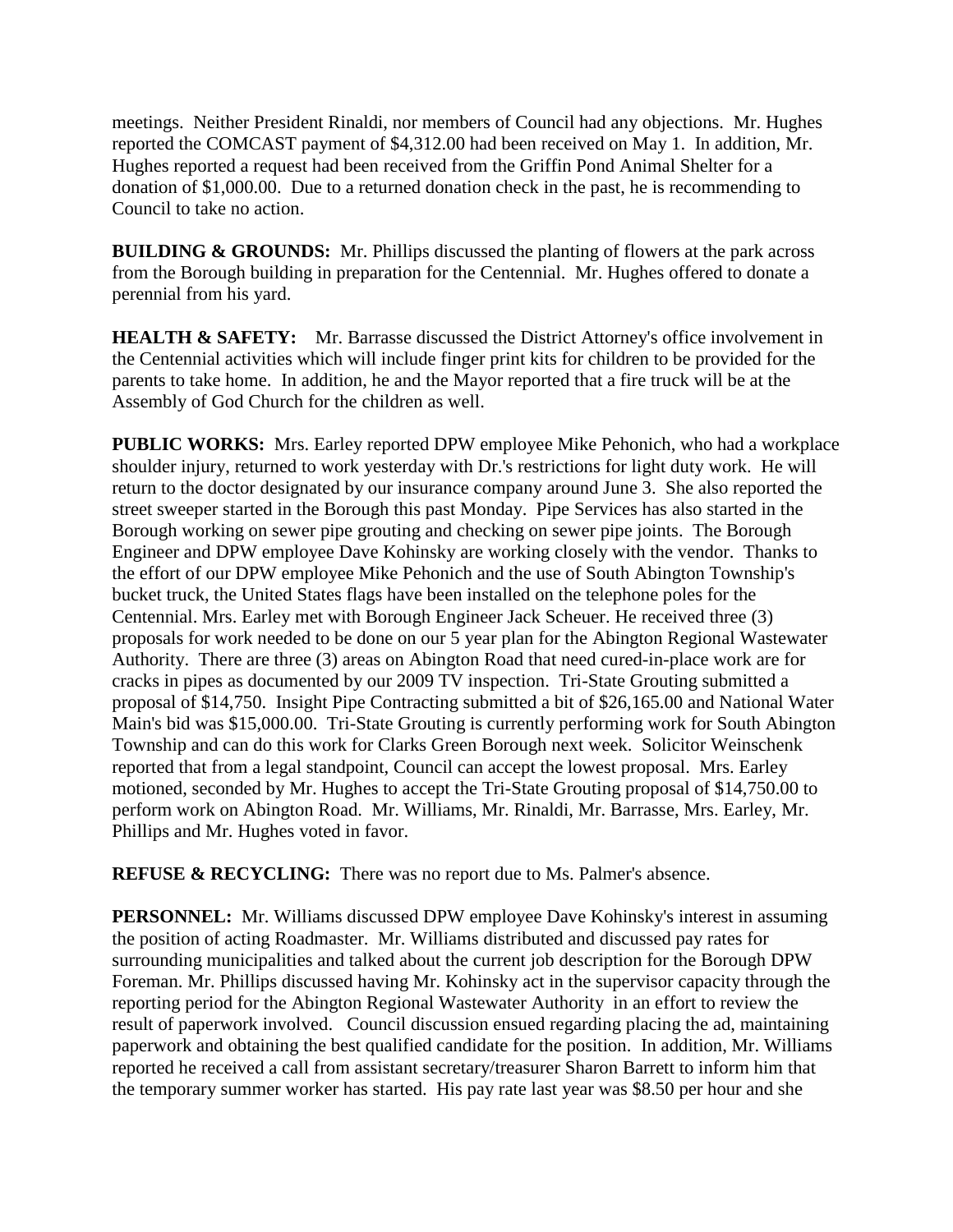meetings. Neither President Rinaldi, nor members of Council had any objections. Mr. Hughes reported the COMCAST payment of \$4,312.00 had been received on May 1. In addition, Mr. Hughes reported a request had been received from the Griffin Pond Animal Shelter for a donation of \$1,000.00. Due to a returned donation check in the past, he is recommending to Council to take no action.

**BUILDING & GROUNDS:** Mr. Phillips discussed the planting of flowers at the park across from the Borough building in preparation for the Centennial. Mr. Hughes offered to donate a perennial from his yard.

**HEALTH & SAFETY:** Mr. Barrasse discussed the District Attorney's office involvement in the Centennial activities which will include finger print kits for children to be provided for the parents to take home. In addition, he and the Mayor reported that a fire truck will be at the Assembly of God Church for the children as well.

**PUBLIC WORKS:** Mrs. Earley reported DPW employee Mike Pehonich, who had a workplace shoulder injury, returned to work yesterday with Dr.'s restrictions for light duty work. He will return to the doctor designated by our insurance company around June 3. She also reported the street sweeper started in the Borough this past Monday. Pipe Services has also started in the Borough working on sewer pipe grouting and checking on sewer pipe joints. The Borough Engineer and DPW employee Dave Kohinsky are working closely with the vendor. Thanks to the effort of our DPW employee Mike Pehonich and the use of South Abington Township's bucket truck, the United States flags have been installed on the telephone poles for the Centennial. Mrs. Earley met with Borough Engineer Jack Scheuer. He received three (3) proposals for work needed to be done on our 5 year plan for the Abington Regional Wastewater Authority. There are three (3) areas on Abington Road that need cured-in-place work are for cracks in pipes as documented by our 2009 TV inspection. Tri-State Grouting submitted a proposal of \$14,750. Insight Pipe Contracting submitted a bit of \$26,165.00 and National Water Main's bid was \$15,000.00. Tri-State Grouting is currently performing work for South Abington Township and can do this work for Clarks Green Borough next week. Solicitor Weinschenk reported that from a legal standpoint, Council can accept the lowest proposal. Mrs. Earley motioned, seconded by Mr. Hughes to accept the Tri-State Grouting proposal of \$14,750.00 to perform work on Abington Road. Mr. Williams, Mr. Rinaldi, Mr. Barrasse, Mrs. Earley, Mr. Phillips and Mr. Hughes voted in favor.

**REFUSE & RECYCLING:** There was no report due to Ms. Palmer's absence.

**PERSONNEL:** Mr. Williams discussed DPW employee Dave Kohinsky's interest in assuming the position of acting Roadmaster. Mr. Williams distributed and discussed pay rates for surrounding municipalities and talked about the current job description for the Borough DPW Foreman. Mr. Phillips discussed having Mr. Kohinsky act in the supervisor capacity through the reporting period for the Abington Regional Wastewater Authority in an effort to review the result of paperwork involved. Council discussion ensued regarding placing the ad, maintaining paperwork and obtaining the best qualified candidate for the position. In addition, Mr. Williams reported he received a call from assistant secretary/treasurer Sharon Barrett to inform him that the temporary summer worker has started. His pay rate last year was \$8.50 per hour and she